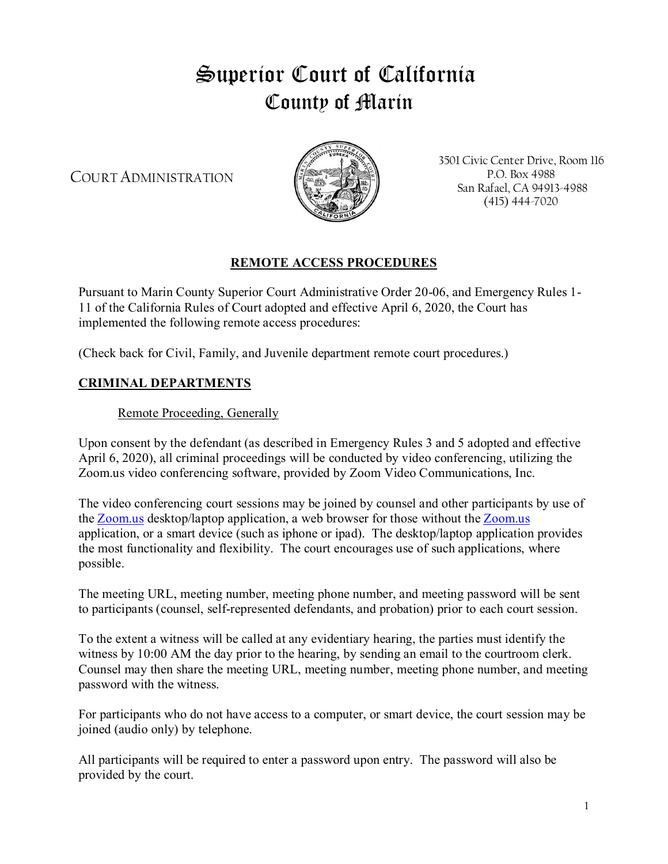# Superior Court of California County of Marin

COURT ADMINISTRATION



3501 Civic Center Drive, Room 116 P.O. Box 4988 San Rafael, CA 94913-4988 (415) 444-7020

## **REMOTE ACCESS PROCEDURES**

Pursuant to Marin County Superior Court Administrative Order 20-06, and Emergency Rules 1- 11 of the California Rules of Court adopted and effective April 6, 2020, the Court has implemented the following remote access procedures:

(Check back for Civil, Family, and Juvenile department remote court procedures.)

### **CRIMINAL DEPARTMENTS**

#### Remote Proceeding, Generally

Upon consent by the defendant (as described in Emergency Rules 3 and 5 adopted and effective April 6, 2020), all criminal proceedings will be conducted by video conferencing, utilizing the Zoom.us video conferencing software, provided by Zoom Video Communications, Inc.

The video conferencing court sessions may be joined by counsel and other participants by use of the [Zoom.us](http://zoom.us/) desktop/laptop application, a web browser for those without the [Zoom.us](http://zoom.us/) application, or a smart device (such as iphone or ipad). The desktop/laptop application provides the most functionality and flexibility. The court encourages use of such applications, where possible.

The meeting URL, meeting number, meeting phone number, and meeting password will be sent to participants (counsel, self-represented defendants, and probation) prior to each court session.

To the extent a witness will be called at any evidentiary hearing, the parties must identify the witness by 10:00 AM the day prior to the hearing, by sending an email to the courtroom clerk. Counsel may then share the meeting URL, meeting number, meeting phone number, and meeting password with the witness.

For participants who do not have access to a computer, or smart device, the court session may be joined (audio only) by telephone.

All participants will be required to enter a password upon entry. The password will also be provided by the court.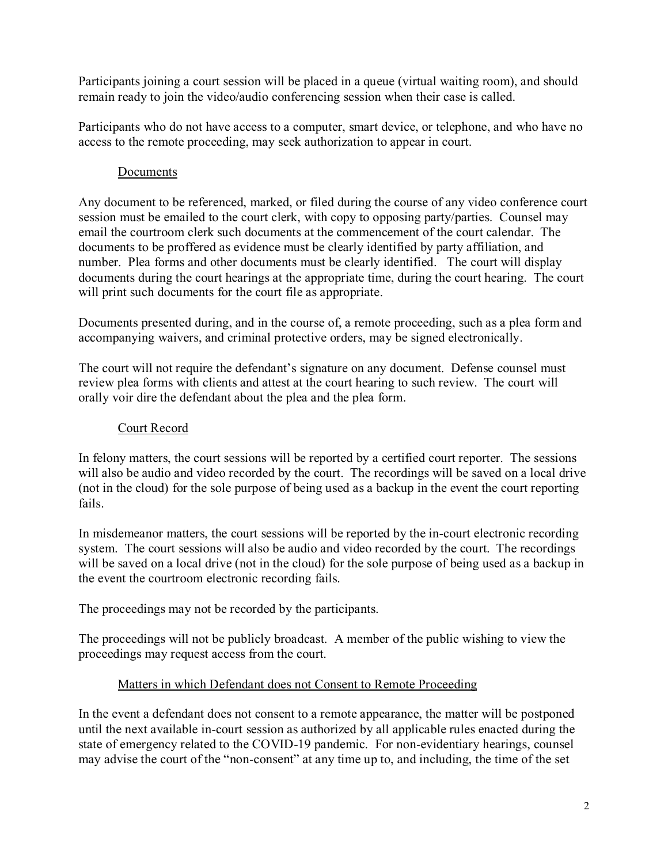Participants joining a court session will be placed in a queue (virtual waiting room), and should remain ready to join the video/audio conferencing session when their case is called.

Participants who do not have access to a computer, smart device, or telephone, and who have no access to the remote proceeding, may seek authorization to appear in court.

#### Documents

Any document to be referenced, marked, or filed during the course of any video conference court session must be emailed to the court clerk, with copy to opposing party/parties. Counsel may email the courtroom clerk such documents at the commencement of the court calendar. The documents to be proffered as evidence must be clearly identified by party affiliation, and number. Plea forms and other documents must be clearly identified. The court will display documents during the court hearings at the appropriate time, during the court hearing. The court will print such documents for the court file as appropriate.

Documents presented during, and in the course of, a remote proceeding, such as a plea form and accompanying waivers, and criminal protective orders, may be signed electronically.

The court will not require the defendant's signature on any document. Defense counsel must review plea forms with clients and attest at the court hearing to such review. The court will orally voir dire the defendant about the plea and the plea form.

#### Court Record

In felony matters, the court sessions will be reported by a certified court reporter. The sessions will also be audio and video recorded by the court. The recordings will be saved on a local drive (not in the cloud) for the sole purpose of being used as a backup in the event the court reporting fails.

In misdemeanor matters, the court sessions will be reported by the in-court electronic recording system. The court sessions will also be audio and video recorded by the court. The recordings will be saved on a local drive (not in the cloud) for the sole purpose of being used as a backup in the event the courtroom electronic recording fails.

The proceedings may not be recorded by the participants.

The proceedings will not be publicly broadcast. A member of the public wishing to view the proceedings may request access from the court.

## Matters in which Defendant does not Consent to Remote Proceeding

In the event a defendant does not consent to a remote appearance, the matter will be postponed until the next available in-court session as authorized by all applicable rules enacted during the state of emergency related to the COVID-19 pandemic. For non-evidentiary hearings, counsel may advise the court of the "non-consent" at any time up to, and including, the time of the set